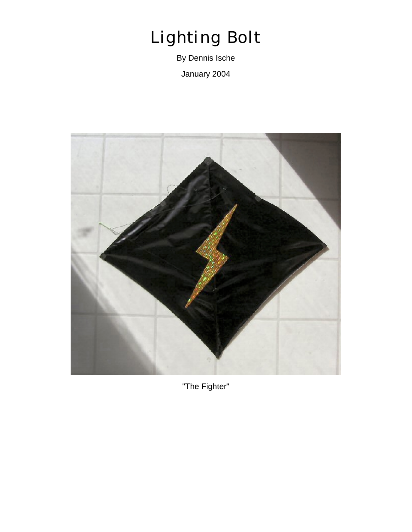## *Lighting Bolt*

By Dennis Ische January 2004



"The Fighter"